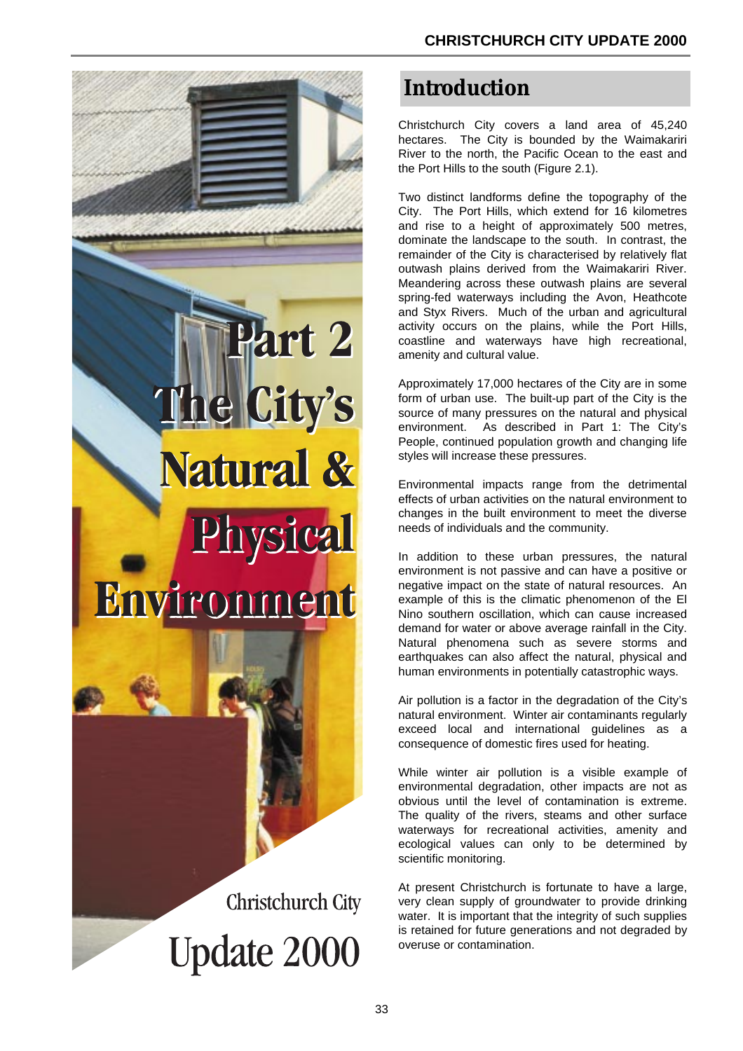

**Christchurch City Update 2000** 

## **Introduction**

Christchurch City covers a land area of 45,240 hectares. The City is bounded by the Waimakariri River to the north, the Pacific Ocean to the east and the Port Hills to the south (Figure 2.1).

Two distinct landforms define the topography of the City. The Port Hills, which extend for 16 kilometres and rise to a height of approximately 500 metres, dominate the landscape to the south. In contrast, the remainder of the City is characterised by relatively flat outwash plains derived from the Waimakariri River. Meandering across these outwash plains are several spring-fed waterways including the Avon, Heathcote and Styx Rivers. Much of the urban and agricultural activity occurs on the plains, while the Port Hills, coastline and waterways have high recreational, amenity and cultural value.

Approximately 17,000 hectares of the City are in some form of urban use. The built-up part of the City is the source of many pressures on the natural and physical environment. As described in Part 1: The City's People, continued population growth and changing life styles will increase these pressures.

Environmental impacts range from the detrimental effects of urban activities on the natural environment to changes in the built environment to meet the diverse needs of individuals and the community.

In addition to these urban pressures, the natural environment is not passive and can have a positive or negative impact on the state of natural resources. An example of this is the climatic phenomenon of the El Nino southern oscillation, which can cause increased demand for water or above average rainfall in the City. Natural phenomena such as severe storms and earthquakes can also affect the natural, physical and human environments in potentially catastrophic ways.

Air pollution is a factor in the degradation of the City's natural environment. Winter air contaminants regularly exceed local and international guidelines as a consequence of domestic fires used for heating.

While winter air pollution is a visible example of environmental degradation, other impacts are not as obvious until the level of contamination is extreme. The quality of the rivers, steams and other surface waterways for recreational activities, amenity and ecological values can only to be determined by scientific monitoring.

At present Christchurch is fortunate to have a large, very clean supply of groundwater to provide drinking water. It is important that the integrity of such supplies is retained for future generations and not degraded by overuse or contamination.